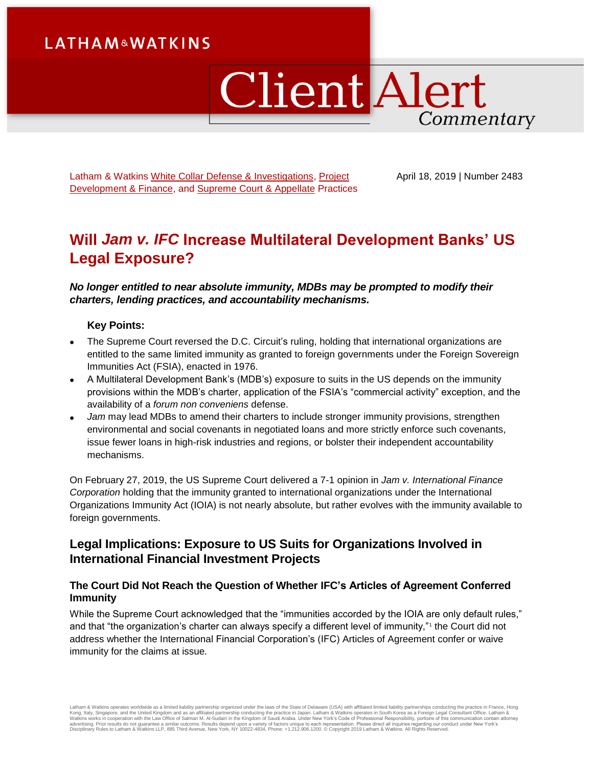# **LATHAM&WATKINS**

# **Client Alert** Commentary

Latham & Watkins [White Collar Defense & Investigations,](https://www.lw.com/practices/WhiteCollarDefenseandInvestigations) [Project](https://www.lw.com/practices/ProjectDevelopmentAndFinance)  [Development & Finance,](https://www.lw.com/practices/ProjectDevelopmentAndFinance) and [Supreme Court & Appellate](https://www.lw.com/practices/SupremeCourtandAppellate) Practices April 18, 2019 | Number 2483

# **Will** *Jam v. IFC* **Increase Multilateral Development Banks' US Legal Exposure?**

*No longer entitled to near absolute immunity, MDBs may be prompted to modify their charters, lending practices, and accountability mechanisms.*

# **Key Points:**

- The Supreme Court reversed the D.C. Circuit's ruling, holding that international organizations are entitled to the same limited immunity as granted to foreign governments under the Foreign Sovereign Immunities Act (FSIA), enacted in 1976.
- A Multilateral Development Bank's (MDB's) exposure to suits in the US depends on the immunity provisions within the MDB's charter, application of the FSIA's "commercial activity" exception, and the availability of a *forum non conveniens* defense.
- *Jam* may lead MDBs to amend their charters to include stronger immunity provisions, strengthen environmental and social covenants in negotiated loans and more strictly enforce such covenants, issue fewer loans in high-risk industries and regions, or bolster their independent accountability mechanisms.

On February 27, 2019, the US Supreme Court delivered a 7-1 opinion in *Jam v. International Finance Corporation* holding that the immunity granted to international organizations under the International Organizations Immunity Act (IOIA) is not nearly absolute, but rather evolves with the immunity available to foreign governments.

# **Legal Implications: Exposure to US Suits for Organizations Involved in International Financial Investment Projects**

# **The Court Did Not Reach the Question of Whether IFC's Articles of Agreement Conferred Immunity**

While the Supreme Court acknowledged that the "immunities accorded by the IOIA are only default rules," and that "the organization's charter can always specify a different level of immunity,"<sup>1</sup> the Court did not address whether the International Financial Corporation's (IFC) Articles of Agreement confer or waive immunity for the claims at issue*.*

Latham & Watkins operates worldwide as a limited liability partnership organized under the laws of the State of Delaware (USA) with affiliated limited liability partnerships conducting the practice in France, Hong<br>Kong, It Disciplinary Rules to Latham & Watkins LLP, 885 Third Avenue, New York, NY 10022-4834, Phone: +1.212.906.1200. © Copyright 2019 Latham & Watkins. All Rights Reserved.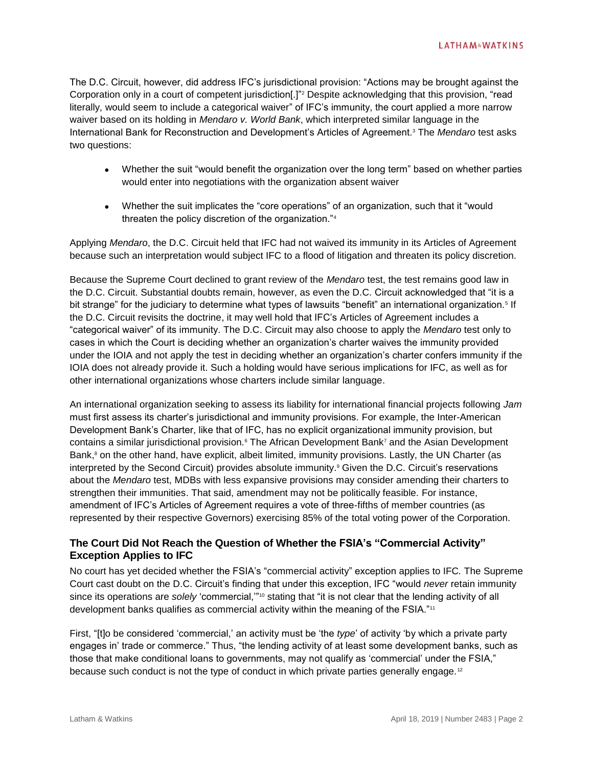The D.C. Circuit, however, did address IFC's jurisdictional provision: "Actions may be brought against the Corporation only in a court of competent jurisdiction[.]"<sup>2</sup> Despite acknowledging that this provision, "read literally, would seem to include a categorical waiver" of IFC's immunity, the court applied a more narrow waiver based on its holding in *Mendaro v. World Bank*, which interpreted similar language in the International Bank for Reconstruction and Development's Articles of Agreement.<sup>3</sup> The *Mendaro* test asks two questions:

- Whether the suit "would benefit the organization over the long term" based on whether parties would enter into negotiations with the organization absent waiver
- Whether the suit implicates the "core operations" of an organization, such that it "would threaten the policy discretion of the organization."<sup>4</sup>

Applying *Mendaro*, the D.C. Circuit held that IFC had not waived its immunity in its Articles of Agreement because such an interpretation would subject IFC to a flood of litigation and threaten its policy discretion.

Because the Supreme Court declined to grant review of the *Mendaro* test, the test remains good law in the D.C. Circuit. Substantial doubts remain, however, as even the D.C. Circuit acknowledged that "it is a bit strange" for the judiciary to determine what types of lawsuits "benefit" an international organization.<sup>5</sup> If the D.C. Circuit revisits the doctrine, it may well hold that IFC's Articles of Agreement includes a "categorical waiver" of its immunity. The D.C. Circuit may also choose to apply the *Mendaro* test only to cases in which the Court is deciding whether an organization's charter waives the immunity provided under the IOIA and not apply the test in deciding whether an organization's charter confers immunity if the IOIA does not already provide it. Such a holding would have serious implications for IFC, as well as for other international organizations whose charters include similar language.

An international organization seeking to assess its liability for international financial projects following *Jam* must first assess its charter's jurisdictional and immunity provisions. For example, the Inter-American Development Bank's Charter, like that of IFC, has no explicit organizational immunity provision, but contains a similar jurisdictional provision.<sup>6</sup> The African Development Bank<sup>7</sup> and the Asian Development Bank,<sup>8</sup> on the other hand, have explicit, albeit limited, immunity provisions. Lastly, the UN Charter (as interpreted by the Second Circuit) provides absolute immunity. <sup>9</sup> Given the D.C. Circuit's reservations about the *Mendaro* test, MDBs with less expansive provisions may consider amending their charters to strengthen their immunities. That said, amendment may not be politically feasible. For instance, amendment of IFC's Articles of Agreement requires a vote of three-fifths of member countries (as represented by their respective Governors) exercising 85% of the total voting power of the Corporation.

## **The Court Did Not Reach the Question of Whether the FSIA's "Commercial Activity" Exception Applies to IFC**

No court has yet decided whether the FSIA's "commercial activity" exception applies to IFC*.* The Supreme Court cast doubt on the D.C. Circuit's finding that under this exception, IFC "would *never* retain immunity since its operations are *solely* 'commercial,"<sup>10</sup> stating that "it is not clear that the lending activity of all development banks qualifies as commercial activity within the meaning of the FSIA."<sup>11</sup>

First, "[t]o be considered 'commercial,' an activity must be 'the *type*' of activity 'by which a private party engages in' trade or commerce." Thus, "the lending activity of at least some development banks, such as those that make conditional loans to governments, may not qualify as 'commercial' under the FSIA," because such conduct is not the type of conduct in which private parties generally engage.<sup>12</sup>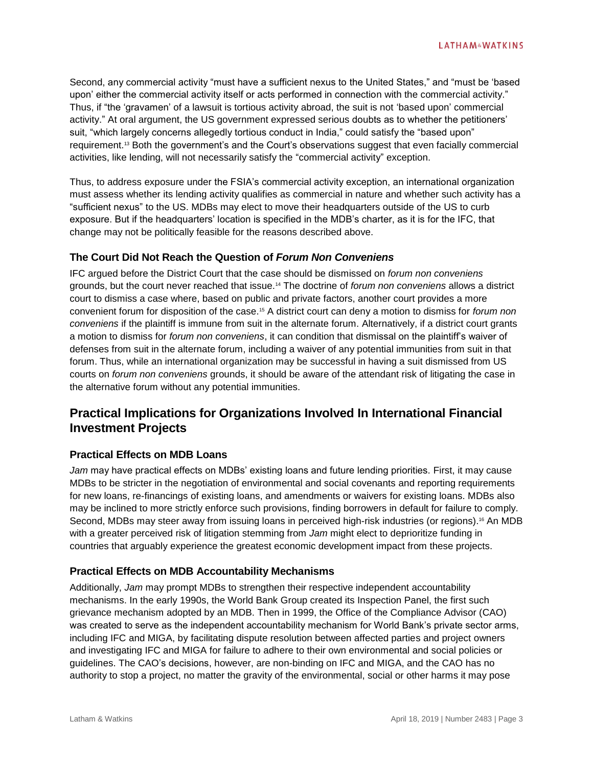Second, any commercial activity "must have a sufficient nexus to the United States," and "must be 'based upon' either the commercial activity itself or acts performed in connection with the commercial activity." Thus, if "the 'gravamen' of a lawsuit is tortious activity abroad, the suit is not 'based upon' commercial activity." At oral argument, the US government expressed serious doubts as to whether the petitioners' suit, "which largely concerns allegedly tortious conduct in India," could satisfy the "based upon" requirement.<sup>13</sup> Both the government's and the Court's observations suggest that even facially commercial activities, like lending, will not necessarily satisfy the "commercial activity" exception.

Thus, to address exposure under the FSIA's commercial activity exception, an international organization must assess whether its lending activity qualifies as commercial in nature and whether such activity has a "sufficient nexus" to the US. MDBs may elect to move their headquarters outside of the US to curb exposure. But if the headquarters' location is specified in the MDB's charter, as it is for the IFC, that change may not be politically feasible for the reasons described above.

## **The Court Did Not Reach the Question of** *Forum Non Conveniens*

IFC argued before the District Court that the case should be dismissed on *forum non conveniens* grounds, but the court never reached that issue.<sup>14</sup> The doctrine of *forum non conveniens* allows a district court to dismiss a case where, based on public and private factors, another court provides a more convenient forum for disposition of the case.<sup>15</sup> A district court can deny a motion to dismiss for *forum non conveniens* if the plaintiff is immune from suit in the alternate forum. Alternatively, if a district court grants a motion to dismiss for *forum non conveniens*, it can condition that dismissal on the plaintiff's waiver of defenses from suit in the alternate forum, including a waiver of any potential immunities from suit in that forum. Thus, while an international organization may be successful in having a suit dismissed from US courts on *forum non conveniens* grounds, it should be aware of the attendant risk of litigating the case in the alternative forum without any potential immunities.

# **Practical Implications for Organizations Involved In International Financial Investment Projects**

#### **Practical Effects on MDB Loans**

*Jam* may have practical effects on MDBs' existing loans and future lending priorities. First, it may cause MDBs to be stricter in the negotiation of environmental and social covenants and reporting requirements for new loans, re-financings of existing loans, and amendments or waivers for existing loans. MDBs also may be inclined to more strictly enforce such provisions, finding borrowers in default for failure to comply. Second, MDBs may steer away from issuing loans in perceived high-risk industries (or regions).<sup>16</sup> An MDB with a greater perceived risk of litigation stemming from *Jam* might elect to deprioritize funding in countries that arguably experience the greatest economic development impact from these projects.

## **Practical Effects on MDB Accountability Mechanisms**

Additionally, *Jam* may prompt MDBs to strengthen their respective independent accountability mechanisms. In the early 1990s, the World Bank Group created its Inspection Panel, the first such grievance mechanism adopted by an MDB. Then in 1999, the Office of the Compliance Advisor (CAO) was created to serve as the independent accountability mechanism for World Bank's private sector arms, including IFC and MIGA, by facilitating dispute resolution between affected parties and project owners and investigating IFC and MIGA for failure to adhere to their own environmental and social policies or guidelines. The CAO's decisions, however, are non-binding on IFC and MIGA, and the CAO has no authority to stop a project, no matter the gravity of the environmental, social or other harms it may pose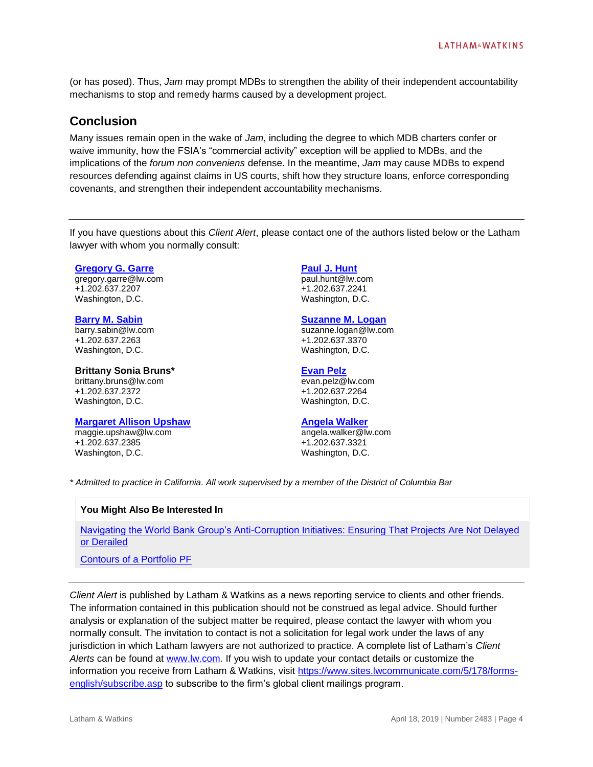(or has posed). Thus, *Jam* may prompt MDBs to strengthen the ability of their independent accountability mechanisms to stop and remedy harms caused by a development project.

# **Conclusion**

Many issues remain open in the wake of *Jam*, including the degree to which MDB charters confer or waive immunity, how the FSIA's "commercial activity" exception will be applied to MDBs, and the implications of the *forum non conveniens* defense. In the meantime, *Jam* may cause MDBs to expend resources defending against claims in US courts, shift how they structure loans, enforce corresponding covenants, and strengthen their independent accountability mechanisms.

If you have questions about this *Client Alert*, please contact one of the authors listed below or the Latham lawyer with whom you normally consult:

**[Gregory G. Garre](https://www.lw.com/people/gregory-garre)**

gregory.garre@lw.com +1.202.637.2207 Washington, D.C.

#### **[Barry M. Sabin](https://www.lw.com/people/barry-sabin)**

barry.sabin@lw.com +1.202.637.2263 Washington, D.C.

#### **Brittany Sonia Bruns\***

brittany.bruns@lw.com +1.202.637.2372 Washington, D.C.

#### **[Margaret Allison Upshaw](https://www.lw.com/people/maggie-upshaw)**

maggie.upshaw@lw.com +1.202.637.2385 Washington, D.C.

#### **[Paul J. Hunt](https://www.lw.com/people/paul-hunt)**

paul.hunt@lw.com +1.202.637.2241 Washington, D.C.

#### **[Suzanne M. Logan](https://www.lw.com/people/suzanne-logan)**

suzanne.logan@lw.com +1.202.637.3370 Washington, D.C.

#### **[Evan Pelz](https://www.lw.com/people/evan-pelz)**

evan.pelz@lw.com +1.202.637.2264 Washington, D.C.

#### **[Angela Walker](https://www.lw.com/people/angela-walker)**

angela.walker@lw.com +1.202.637.3321 Washington, D.C.

*\* Admitted to practice in California. All work supervised by a member of the District of Columbia Bar*

#### **You Might Also Be Interested In**

[Navigating the World Bank Group's Anti-Corruption Initiatives: Ensuring That Projects Are Not Delayed](https://www.lw.com/thoughtLeadership/navigating-world-bank-group-anti-corruption-initiatives)  [or Derailed](https://www.lw.com/thoughtLeadership/navigating-world-bank-group-anti-corruption-initiatives)

#### [Contours of a Portfolio PF](https://www.lw.com/thoughtLeadership/example-of-contours-of-portfolio-project-finance)

*Client Alert* is published by Latham & Watkins as a news reporting service to clients and other friends. The information contained in this publication should not be construed as legal advice. Should further analysis or explanation of the subject matter be required, please contact the lawyer with whom you normally consult. The invitation to contact is not a solicitation for legal work under the laws of any jurisdiction in which Latham lawyers are not authorized to practice. A complete list of Latham's *Client Alerts* can be found at [www.lw.com.](http://www.lw.com/) If you wish to update your contact details or customize the information you receive from Latham & Watkins, visit [https://www.sites.lwcommunicate.com/5/178/forms](https://www.sites.lwcommunicate.com/5/178/forms-english/subscribe.asp)[english/subscribe.asp](https://www.sites.lwcommunicate.com/5/178/forms-english/subscribe.asp) to subscribe to the firm's global client mailings program.